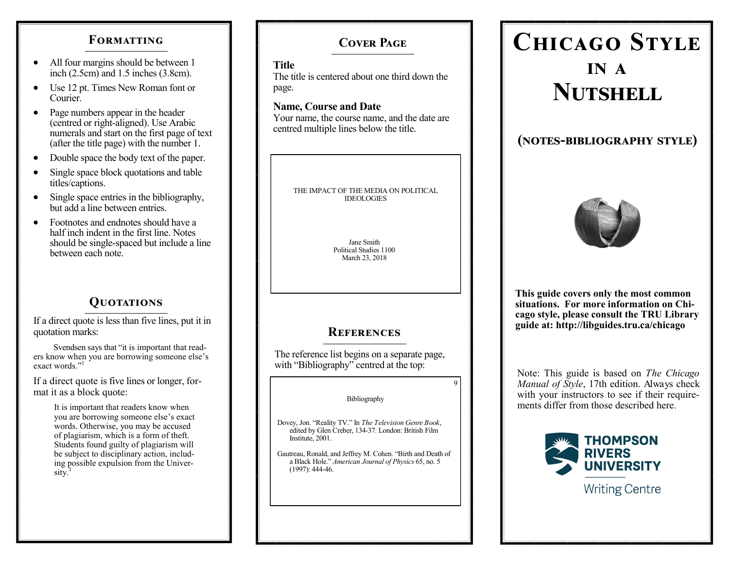# **FORMATTING**

- All four margins should be between 1 inch (2.5cm) and 1.5 inches (3.8cm).
- Use 12 pt. Times New Roman font or Courier.
- Page numbers appear in the header (centred or right-aligned). Use Arabic numerals and start on the first page of text (after the title page) with the number 1.
- Double space the body text of the paper.
- Single space block quotations and table titles/captions.
- Single space entries in the bibliography, but add a line between entries.
- Footnotes and endnotes should have a half inch indent in the first line. Notes should be single-spaced but include a line between each note.

# **Quotations**

If a direct quote is less than five lines, put it in quotation marks:

 Svendsen says that "it is important that readers know when you are borrowing someone else's exact words."<sup>1</sup>

If a direct quote is five lines or longer, format it as a block quote:

> It is important that readers know when you are borrowing someone else's exact words. Otherwise, you may be accused of plagiarism, which is a form of theft. Students found guilty of plagiarism will be subject to disciplinary action, including possible expulsion from the University.

# **Cover Page**

## **Title**

The title is centered about one third down the page.

### **Name, Course and Date**

Your name, the course name, and the date are centred multiple lines below the title.

> THE IMPACT OF THE MEDIA ON POLITICAL IDEOLOGIES

> > Jane Smith Political Studies 1100 March 23, 2018

# **References**

The reference list begins on a separate page, with "Bibliography" centred at the top:

#### Bibliography

 $\overline{q}$ 

Dovey, Jon. "Reality TV." In *The Television Genre Book*, edited by Glen Creber, 134-37. London: British Film Institute, 2001.

Gautreau, Ronald, and Jeffrey M. Cohen. "Birth and Death of a Black Hole." *American Journal of Physics* 65, no. 5 (1997): 444-46.

# **Chicago Style in a Nutshell**

# **(notes-bibliography style)**



**This guide covers only the most common situations. For more information on Chicago style, please consult the TRU Library guide at: http://libguides.tru.ca/chicago**

Note: This guide is based on *The Chicago Manual of Style*, 17th edition. Always check with your instructors to see if their requirements differ from those described here.